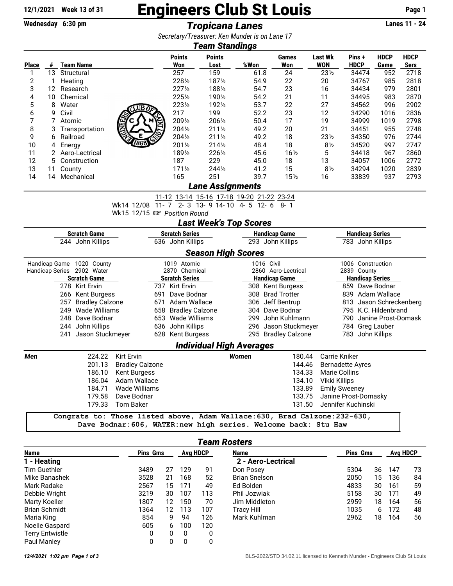## 12/1/2021 Week 13 of 31 **Engineers Club St Louis** Page 1

**Wednesday 6:30 pm** *Tropicana Lanes* **Lanes 11 - 24**

*Secretary/Treasurer: Ken Munder is on Lane 17*

|              | <b>Team Standings</b> |                  |                      |                      |                       |      |                 |                              |                      |                     |                            |  |
|--------------|-----------------------|------------------|----------------------|----------------------|-----------------------|------|-----------------|------------------------------|----------------------|---------------------|----------------------------|--|
| <b>Place</b> | #                     | Team Name        |                      | <b>Points</b><br>Won | <b>Points</b><br>Lost | %Won | Games<br>Won    | <b>Last Wk</b><br><b>WON</b> | Pins+<br><b>HDCP</b> | <b>HDCP</b><br>Game | <b>HDCP</b><br><b>Sers</b> |  |
|              | 13                    | Structural       |                      | 257                  | 159                   | 61.8 | 24              | $23\frac{1}{2}$              | 34474                | 952                 | 2718                       |  |
| 2            |                       | Heating          |                      | 2281/2               | 1871/2                | 54.9 | 22              | 20                           | 34767                | 985                 | 2818                       |  |
| 3            | 12                    | Research         |                      | $227\frac{1}{2}$     | 1881/2                | 54.7 | 23              | 16                           | 34434                | 979                 | 2801                       |  |
| 4            | 10                    | Chemical         |                      | 2251/2               | 1901/2                | 54.2 | 21              | 11                           | 34495                | 983                 | 2870                       |  |
| 5            | 8                     | Water            | CLUB OF              | 2231/2               | 1921/2                | 53.7 | 22              | 27                           | 34562                | 996                 | 2902                       |  |
| 6            | 9                     | Civil            |                      | 217                  | 199                   | 52.2 | 23              | 12                           | 34290                | 1016                | 2836                       |  |
| 7            |                       | 7 Atomic         | 源                    | 2091/2               | 2061/2                | 50.4 | 17              | 19                           | 34999                | 1019                | 2798                       |  |
| 8            | 3                     | Transportation   | Control Control<br>⑤ | 2041/2               | $211\frac{1}{2}$      | 49.2 | 20              | 21                           | 34451                | 955                 | 2748                       |  |
| 9            | 6.                    | Railroad         | E<br>S               | 2041/2               | $211\frac{1}{2}$      | 49.2 | 18              | $23\frac{1}{2}$              | 34350                | 976                 | 2744                       |  |
| 10           |                       | 4 Energy         | 1868                 | 2011/2               | $214\frac{1}{2}$      | 48.4 | 18              | $8\frac{1}{2}$               | 34520                | 997                 | 2747                       |  |
| 11           |                       | 2 Aero-Lectrical |                      | 1891/2               | 2261/2                | 45.6 | $16\frac{1}{2}$ | 5                            | 34418                | 967                 | 2860                       |  |
| 12           |                       | 5 Construction   |                      | 187                  | 229                   | 45.0 | 18              | 13                           | 34057                | 1006                | 2772                       |  |
| 13           | 11                    | County           |                      | $171\frac{1}{2}$     | 2441/2                | 41.2 | 15              | $8\frac{1}{2}$               | 34294                | 1020                | 2839                       |  |
| 14           | 14                    | Mechanical       |                      | 165                  | 251                   | 39.7 | 15 <sub>2</sub> | 16                           | 33839                | 937                 | 2793                       |  |
|              | Lane Assignments      |                  |                      |                      |                       |      |                 |                              |                      |                     |                            |  |

11-12 13-14 15-16 17-18 19-20 21-22 23-24

Wk14 12/08 11- 7 2- 3 13- 9 14- 10 4- 5 12- 6 8- 1

Wk15 12/15  $\mathbb{R}$  Position Round

*Last Week's Top Scores*

| <b>Scratch Game</b>           |                      |                        | <b>Scratch Series</b>           |              | <b>Handicap Game</b> |                                              | <b>Handicap Series</b> |  |  |
|-------------------------------|----------------------|------------------------|---------------------------------|--------------|----------------------|----------------------------------------------|------------------------|--|--|
|                               | 244 John Killips     |                        | 636 John Killips                |              | 293 John Killips     |                                              | 783 John Killips       |  |  |
|                               |                      |                        | <b>Season High Scores</b>       |              |                      |                                              |                        |  |  |
| Handicap Game                 | 1020 County          |                        | 1019 Atomic                     |              | 1016 Civil           |                                              | 1006 Construction      |  |  |
| <b>Handicap Series</b>        | 2902 Water           |                        | 2870 Chemical                   |              | 2860 Aero-Lectrical  |                                              | 2839 County            |  |  |
|                               | <b>Scratch Game</b>  |                        | <b>Scratch Series</b>           |              | <b>Handicap Game</b> | <b>Handicap Series</b>                       |                        |  |  |
|                               | 278 Kirt Ervin       |                        | 737 Kirt Ervin                  |              | 308 Kent Burgess     |                                              | 859 Dave Bodnar        |  |  |
| 266 Kent Burgess              |                      | 691                    | Dave Bodnar                     | 308          | <b>Brad Trotter</b>  | 839                                          | Adam Wallace           |  |  |
| <b>Bradley Calzone</b><br>257 |                      | 671                    | Adam Wallace                    | 306          | Jeff Bentrup         | 813                                          | Jason Schreckenberg    |  |  |
| 249 Wade Williams             |                      | 658                    | <b>Bradley Calzone</b>          | 304          | Dave Bodnar          |                                              | 795 K.C. Hildenbrand   |  |  |
| 248 Dave Bodnar               |                      | 653                    | Wade Williams                   | 299          | John Kuhlmann        | 790                                          | Janine Prost-Domask    |  |  |
| 244 John Killips              |                      | 636                    | John Killips                    | 296          | Jason Stuckmeyer     |                                              | 784 Greg Lauber        |  |  |
|                               | 241 Jason Stuckmeyer |                        | 628 Kent Burgess                |              | 295 Bradley Calzone  |                                              | 783 John Killips       |  |  |
|                               |                      |                        | <b>Individual High Averages</b> |              |                      |                                              |                        |  |  |
| Men                           | 224.22               | <b>Kirt Ervin</b>      |                                 | <b>Women</b> | 180.44               | Carrie Kniker                                |                        |  |  |
|                               | 201.13               | <b>Bradley Calzone</b> |                                 |              | 144.46               | <b>Bernadette Ayres</b>                      |                        |  |  |
|                               | 186.10               | Kent Burgess           |                                 |              | 134.33               | Marie Collins                                |                        |  |  |
|                               | 186.04               | Adam Wallace           |                                 |              | 134.10               | Vikki Killips                                |                        |  |  |
|                               | 184.71               | Wade Williams          |                                 |              | 133.89               |                                              |                        |  |  |
|                               | 179.58               | Dave Bodnar            |                                 |              | 133.75               |                                              |                        |  |  |
|                               | 179.33               | Tom Baker              |                                 |              | 131.50               | Jennifer Kuchinski                           |                        |  |  |
|                               |                      |                        |                                 |              |                      | <b>Emily Sweeney</b><br>Janine Prost-Domasky |                        |  |  |

**Congrats to: Those listed above, Adam Wallace:630, Brad Calzone:232-630, Dave Bodnar:606, WATER:new high series. Welcome back: Stu Haw**

## *Team Rosters*

| Name                   |      | <b>Pins Gms</b>   |              | <b>Avg HDCP</b> | <b>Name</b>          |      | <b>Pins Gms</b> |     | <b>Avg HDCP</b> |  |
|------------------------|------|-------------------|--------------|-----------------|----------------------|------|-----------------|-----|-----------------|--|
| 1 - Heating            |      |                   |              |                 | 2 - Aero-Lectrical   |      |                 |     |                 |  |
| Tim Guethler           | 3489 | 27                | 129          | 91              | Don Posey            | 5304 | 36              | 147 | 73              |  |
| Mike Banashek          | 3528 | 21                | 168          | 52              | <b>Brian Snelson</b> | 2050 | 15              | 136 | 84              |  |
| Mark Radake            | 2567 | 15                | 171          | 49              | Ed Bolden            | 4833 | 30              | 161 | 59              |  |
| Debbie Wright          | 3219 | 30                | 107          | 113             | Phil Jozwiak         | 5158 | 30              | 171 | 49              |  |
| Marty Koeller          | 1807 | 12                | 150          | 70              | Jim Middleton        | 2959 | 18              | 164 | 56              |  |
| <b>Brian Schmidt</b>   | 1364 | $12 \overline{ }$ | 113          | 107             | <b>Tracy Hill</b>    | 1035 | 6               | 172 | 48              |  |
| Maria King             | 854  | 9                 | 94           | 126             | Mark Kuhlman         | 2962 | 18              | 164 | 56              |  |
| Noelle Gaspard         | 605  | 6                 | 100          | 120             |                      |      |                 |     |                 |  |
| <b>Terry Entwistle</b> | 0    | 0                 | $\mathbf{0}$ | 0               |                      |      |                 |     |                 |  |
| Paul Manley            |      | 0                 | 0            | 0               |                      |      |                 |     |                 |  |